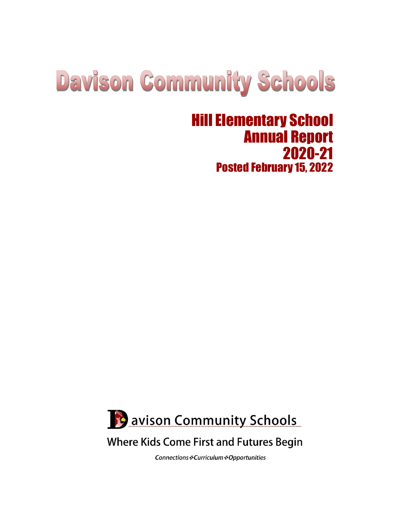# **Davison Community Schools**

# Hill Elementary School Annual Report 2020-21 Posted February 15, 2022



# **Where Kids Come First and Futures Begin**

Connections : Curriculum : Opportunities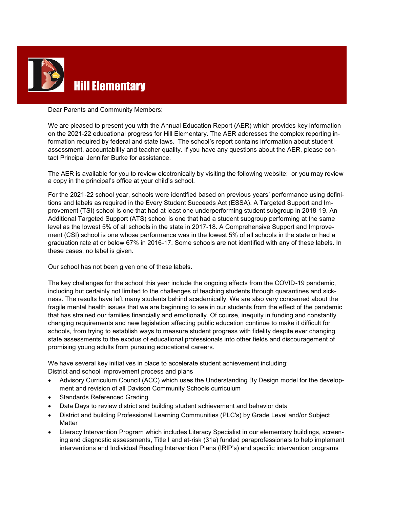

#### Dear Parents and Community Members:

We are pleased to present you with the Annual Education Report (AER) which provides key information on the 2021-22 educational progress for Hill Elementary. The AER addresses the complex reporting information required by federal and state laws. The school's report contains information about student assessment, accountability and teacher quality. If you have any questions about the AER, please contact Principal Jennifer Burke for assistance.

The AER is available for you to review electronically by visiting the following website: or you may review a copy in the principal's office at your child's school.

For the 2021-22 school year, schools were identified based on previous years' performance using definitions and labels as required in the Every Student Succeeds Act (ESSA). A Targeted Support and Improvement (TSI) school is one that had at least one underperforming student subgroup in 2018-19. An Additional Targeted Support (ATS) school is one that had a student subgroup performing at the same level as the lowest 5% of all schools in the state in 2017-18. A Comprehensive Support and Improvement (CSI) school is one whose performance was in the lowest 5% of all schools in the state or had a graduation rate at or below 67% in 2016-17. Some schools are not identified with any of these labels. In these cases, no label is given.

Our school has not been given one of these labels.

The key challenges for the school this year include the ongoing effects from the COVID-19 pandemic, including but certainly not limited to the challenges of teaching students through quarantines and sickness. The results have left many students behind academically. We are also very concerned about the fragile mental health issues that we are beginning to see in our students from the effect of the pandemic that has strained our families financially and emotionally. Of course, inequity in funding and constantly changing requirements and new legislation affecting public education continue to make it difficult for schools, from trying to establish ways to measure student progress with fidelity despite ever changing state assessments to the exodus of educational professionals into other fields and discouragement of promising young adults from pursuing educational careers.

We have several key initiatives in place to accelerate student achievement including: District and school improvement process and plans

- Advisory Curriculum Council (ACC) which uses the Understanding By Design model for the development and revision of all Davison Community Schools curriculum
- Standards Referenced Grading
- Data Days to review district and building student achievement and behavior data
- District and building Professional Learning Communities (PLC's) by Grade Level and/or Subject **Matter**
- Literacy Intervention Program which includes Literacy Specialist in our elementary buildings, screening and diagnostic assessments, Title I and at-risk (31a) funded paraprofessionals to help implement interventions and Individual Reading Intervention Plans (IRIP's) and specific intervention programs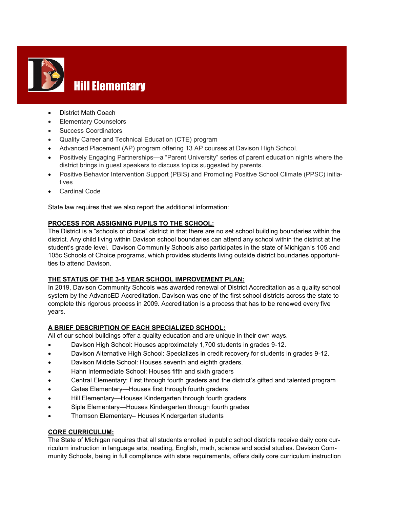

# **Hill Elementary**

- District Math Coach
- Elementary Counselors
- Success Coordinators
- Quality Career and Technical Education (CTE) program
- Advanced Placement (AP) program offering 13 AP courses at Davison High School.
- Positively Engaging Partnerships—a "Parent University" series of parent education nights where the district brings in guest speakers to discuss topics suggested by parents.
- Positive Behavior Intervention Support (PBIS) and Promoting Positive School Climate (PPSC) initiatives
- Cardinal Code

State law requires that we also report the additional information:

#### **PROCESS FOR ASSIGNING PUPILS TO THE SCHOOL:**

The District is a "schools of choice" district in that there are no set school building boundaries within the district. Any child living within Davison school boundaries can attend any school within the district at the student's grade level. Davison Community Schools also participates in the state of Michigan's 105 and 105c Schools of Choice programs, which provides students living outside district boundaries opportunities to attend Davison.

#### **THE STATUS OF THE 3-5 YEAR SCHOOL IMPROVEMENT PLAN:**

In 2019, Davison Community Schools was awarded renewal of District Accreditation as a quality school system by the AdvancED Accreditation. Davison was one of the first school districts across the state to complete this rigorous process in 2009. Accreditation is a process that has to be renewed every five years.

#### **A BRIEF DESCRIPTION OF EACH SPECIALIZED SCHOOL:**

All of our school buildings offer a quality education and are unique in their own ways.

- Davison High School: Houses approximately 1,700 students in grades 9-12.
- Davison Alternative High School: Specializes in credit recovery for students in grades 9-12.
- Davison Middle School: Houses seventh and eighth graders.
- Hahn Intermediate School: Houses fifth and sixth graders
- Central Elementary: First through fourth graders and the district's gifted and talented program
- Gates Elementary—Houses first through fourth graders
- Hill Elementary—Houses Kindergarten through fourth graders
- Siple Elementary—Houses Kindergarten through fourth grades
- Thomson Elementary– Houses Kindergarten students

#### **CORE CURRICULUM:**

The State of Michigan requires that all students enrolled in public school districts receive daily core curriculum instruction in language arts, reading, English, math, science and social studies. Davison Community Schools, being in full compliance with state requirements, offers daily core curriculum instruction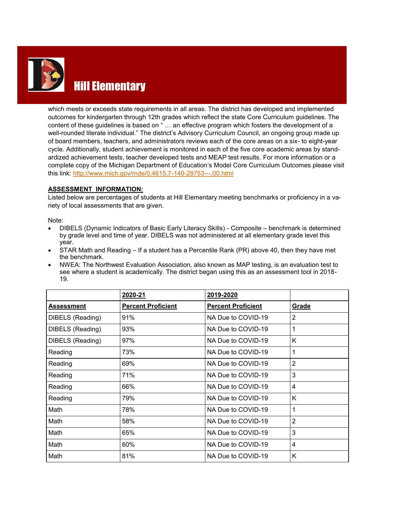

# Hill Elementary

which meets or exceeds state requirements in all areas. The district has developed and implemented outcomes for kindergarten through 12th grades which reflect the state Core Curriculum guidelines. The content of these guidelines is based on " … an effective program which fosters the development of a well-rounded literate individual." The district's Advisory Curriculum Council, an ongoing group made up of board members, teachers, and administrators reviews each of the core areas on a six- to eight-year cycle. Additionally, student achievement is monitored in each of the five core academic areas by standardized achievement tests, teacher developed tests and MEAP test results. For more information or a complete copy of the Michigan Department of Education's Model Core Curriculum Outcomes please visit this link: [http://www.mich.gov/mde/0,4615,7](http://www.mich.gov/mde/0,4615,7-140-28753---,00.html)-140-28753---,00.html

#### **ASSESSMENT INFORMATION:**

Listed below are percentages of students at Hill Elementary meeting benchmarks or proficiency in a variety of local assessments that are given.

Note:

- DIBELS (Dynamic Indicators of Basic Early Literacy Skills) Composite benchmark is determined by grade level and time of year. DIBELS was not administered at all elementary grade level this year.
- STAR Math and Reading If a student has a Percentile Rank (PR) above 40, then they have met the benchmark.
- NWEA: The Northwest Evaluation Association, also known as MAP testing, is an evaluation test to see where a student is academically. The district began using this as an assessment tool in 2018- 19.

|                   | 2020-21                   | 2019-2020                 |                |
|-------------------|---------------------------|---------------------------|----------------|
| <b>Assessment</b> | <b>Percent Proficient</b> | <b>Percent Proficient</b> | Grade          |
| DIBELS (Reading)  | 91%                       | NA Due to COVID-19        | 2              |
| DIBELS (Reading)  | 93%                       | NA Due to COVID-19        |                |
| DIBELS (Reading)  | 97%                       | NA Due to COVID-19        | K              |
| Reading           | 73%                       | NA Due to COVID-19        |                |
| Reading           | 69%                       | NA Due to COVID-19        | $\overline{2}$ |
| Reading           | 71%                       | NA Due to COVID-19        | 3              |
| Reading           | 66%                       | NA Due to COVID-19        | 4              |
| Reading           | 79%                       | NA Due to COVID-19        | K              |
| Math              | 78%                       | NA Due to COVID-19        | 1              |
| Math              | 58%                       | NA Due to COVID-19        | $\overline{2}$ |
| Math              | 65%                       | NA Due to COVID-19        | 3              |
| Math              | 60%                       | NA Due to COVID-19        | 4              |
| Math              | 81%                       | NA Due to COVID-19        | Κ              |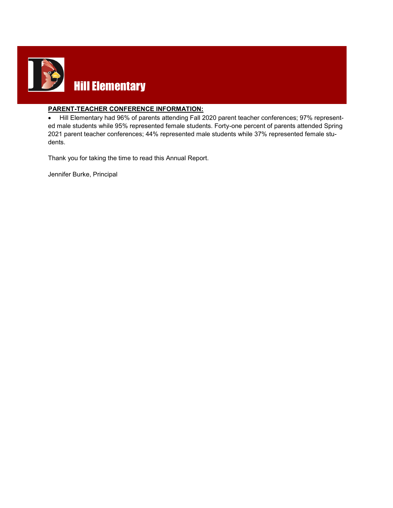

#### **PARENT-TEACHER CONFERENCE INFORMATION:**

 Hill Elementary had 96% of parents attending Fall 2020 parent teacher conferences; 97% represented male students while 95% represented female students. Forty-one percent of parents attended Spring 2021 parent teacher conferences; 44% represented male students while 37% represented female students.

Thank you for taking the time to read this Annual Report.

Jennifer Burke, Principal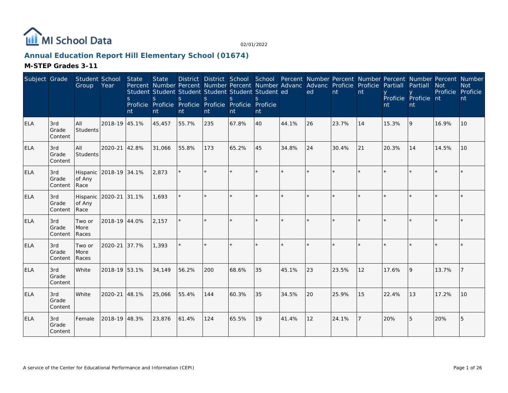

# **Annual Education Report Hill Elementary School (01674)**

| Subject Grade |                         | Student School<br>Group    | Year                   | <b>State</b><br><sub>S</sub><br>nt | <b>State</b><br>$\mathbf S$<br>nt | Percent Number Percent Number Percent Number Advanc Advanc Proficie Proficie<br>Student Student Student Student Student Student ed<br>S.<br>Proficie Proficie Proficie Proficie Proficie Proficie<br>nt | <sub>S</sub><br>nt | <sub>S</sub><br>nt | $\mathcal{S}$<br>nt |              | ed      | nt    | nt | Partiall<br>nt | District District School School Percent Number Percent Number Percent Number Percent Number<br>Partiall<br>Proficie Proficie nt<br>nt | <b>Not</b><br>Proficie | <b>Not</b><br>Proficie<br>nt |
|---------------|-------------------------|----------------------------|------------------------|------------------------------------|-----------------------------------|---------------------------------------------------------------------------------------------------------------------------------------------------------------------------------------------------------|--------------------|--------------------|---------------------|--------------|---------|-------|----|----------------|---------------------------------------------------------------------------------------------------------------------------------------|------------------------|------------------------------|
| ELA           | 3rd<br>Grade<br>Content | <b>AII</b><br>Students     | 2018-19 45.1%          |                                    | 45,457                            | 55.7%                                                                                                                                                                                                   | 235                | 67.8%              | 40                  | 44.1%        | 26      | 23.7% | 14 | 15.3%          | 9                                                                                                                                     | 16.9%                  | 10                           |
| <b>ELA</b>    | 3rd<br>Grade<br>Content | <b>AII</b><br>Students     | 2020-21                | 42.8%                              | 31,066                            | 55.8%                                                                                                                                                                                                   | 173                | 65.2%              | 45                  | 34.8%        | 24      | 30.4% | 21 | 20.3%          | 14                                                                                                                                    | 14.5%                  | 10                           |
| <b>ELA</b>    | 3rd<br>Grade<br>Content | of Any<br>Race             | Hispanic 2018-19 34.1% |                                    | 2,873                             |                                                                                                                                                                                                         |                    |                    | $\star$             |              |         |       |    |                |                                                                                                                                       |                        |                              |
| <b>ELA</b>    | 3rd<br>Grade<br>Content | Hispanic<br>of Any<br>Race | 2020-21                | 131.1%                             | 1.693                             |                                                                                                                                                                                                         |                    |                    | ×.                  |              | $\star$ |       |    |                |                                                                                                                                       |                        |                              |
| <b>ELA</b>    | 3rd<br>Grade<br>Content | Two or<br>More<br>Races    | 2018-19 44.0%          |                                    | 2,157                             |                                                                                                                                                                                                         |                    |                    | $\star$             |              |         |       |    |                |                                                                                                                                       |                        |                              |
| ELA           | 3rd<br>Grade<br>Content | Two or<br>More<br>Races    | 2020-21 37.7%          |                                    | 1,393                             | $\star$                                                                                                                                                                                                 |                    |                    | $\star$             | $\mathbf{d}$ | $\star$ |       |    |                |                                                                                                                                       |                        |                              |
| <b>ELA</b>    | 3rd<br>Grade<br>Content | White                      | 2018-19 53.1%          |                                    | 34,149                            | 56.2%                                                                                                                                                                                                   | 200                | 68.6%              | 35                  | 45.1%        | 23      | 23.5% | 12 | 17.6%          | 9                                                                                                                                     | 13.7%                  |                              |
| ELA           | 3rd<br>Grade<br>Content | <b>White</b>               | 2020-21 48.1%          |                                    | 25,066                            | 55.4%                                                                                                                                                                                                   | 144                | 60.3%              | 35                  | 34.5%        | 20      | 25.9% | 15 | 22.4%          | 13                                                                                                                                    | 17.2%                  | 10                           |
| <b>ELA</b>    | 3rd<br>Grade<br>Content | Female                     | 2018-19 48.3%          |                                    | 23,876                            | 61.4%                                                                                                                                                                                                   | 124                | 65.5%              | 19                  | 41.4%        | 12      | 24.1% |    | 20%            | 5                                                                                                                                     | 20%                    | 5                            |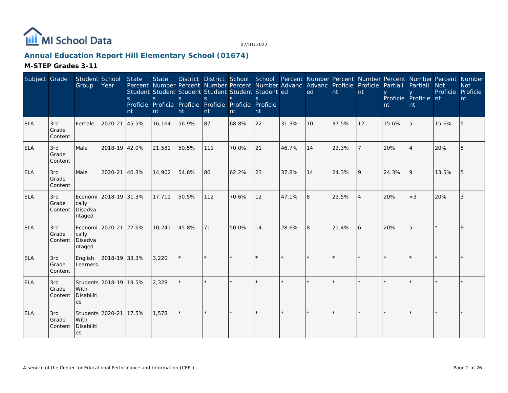

# **Annual Education Report Hill Elementary School (01674)**

| Subject Grade |                         | Student School<br>Group                       | Year                   | State<br><sub>S</sub><br>nt | <b>State</b><br>$\mathsf{S}$<br>nt | Percent Number Percent Number Percent Number Advanc Advanc Proficie Proficie<br>Student Student Student Student Student Student ed<br><sub>S</sub><br>Proficie Proficie Proficie Proficie Proficie Proficie<br>nt | $\mathbf S$<br>nt | $\mathcal{S}$<br>nt | $\mathcal{S}$<br>nt |       | District District School School Percent Number Percent Number Percent Number Percent Number<br>ed | nt    | nt             | Partiall<br>nt | Partiall<br>Proficie Proficie nt<br>nt | <b>Not</b><br>Proficie | <b>Not</b><br>Proficie<br>nt |
|---------------|-------------------------|-----------------------------------------------|------------------------|-----------------------------|------------------------------------|-------------------------------------------------------------------------------------------------------------------------------------------------------------------------------------------------------------------|-------------------|---------------------|---------------------|-------|---------------------------------------------------------------------------------------------------|-------|----------------|----------------|----------------------------------------|------------------------|------------------------------|
| <b>ELA</b>    | 3rd<br>Grade<br>Content | Female                                        | 2020-21                | 45.5%                       | 16,164                             | 56.9%                                                                                                                                                                                                             | 87                | 68.8%               | 22                  | 31.3% | 10                                                                                                | 37.5% | 12             | 15.6%          | 5                                      | 15.6%                  | 5                            |
| ELA           | 3rd<br>Grade<br>Content | Male                                          | 2018-19 42.0%          |                             | 21,581                             | 50.5%                                                                                                                                                                                                             | 111               | 70.0%               | 21                  | 46.7% | 14                                                                                                | 23.3% |                | 20%            |                                        | 20%                    | 5                            |
| <b>ELA</b>    | 3rd<br>Grade<br>Content | Male                                          | 2020-21                | 40.3%                       | 14,902                             | 54.8%                                                                                                                                                                                                             | 86                | 62.2%               | 23                  | 37.8% | 14                                                                                                | 24.3% | 9              | 24.3%          | $\overline{Q}$                         | 13.5%                  | 5                            |
| <b>ELA</b>    | 3rd<br>Grade<br>Content | cally<br>Disadva<br>ntaged                    | Economi 2018-19 31.3%  |                             | 17,711                             | 50.5%                                                                                                                                                                                                             | 112               | 70.6%               | 12                  | 47.1% | 8                                                                                                 | 23.5% | $\overline{4}$ | 20%            | $<$ 3                                  | 20%                    | 3                            |
| <b>ELA</b>    | 3rd<br>Grade<br>Content | Economi 2020-21<br>cally<br>Disadva<br>ntaged |                        | 27.6%                       | 10,241                             | 45.8%                                                                                                                                                                                                             | 71                | 50.0%               | 14                  | 28.6% | 8                                                                                                 | 21.4% | 6              | 20%            |                                        |                        | 9                            |
| <b>ELA</b>    | 3rd<br>Grade<br>Content | English<br>Learners                           | 2018-19 33.3%          |                             | 3,220                              | ÷.                                                                                                                                                                                                                | ×.                |                     |                     |       | $\star$                                                                                           |       |                |                |                                        |                        | $\star$                      |
| <b>ELA</b>    | 3rd<br>Grade<br>Content | With<br>Disabiliti<br>es                      | Students 2018-19 19.5% |                             | 2,328                              |                                                                                                                                                                                                                   |                   |                     |                     |       |                                                                                                   |       |                |                |                                        |                        |                              |
| <b>ELA</b>    | 3rd<br>Grade<br>Content | Students 2020-21<br>With<br>Disabiliti<br>es  |                        | 17.5%                       | 1,578                              |                                                                                                                                                                                                                   |                   |                     | ¥                   |       |                                                                                                   |       |                |                |                                        |                        |                              |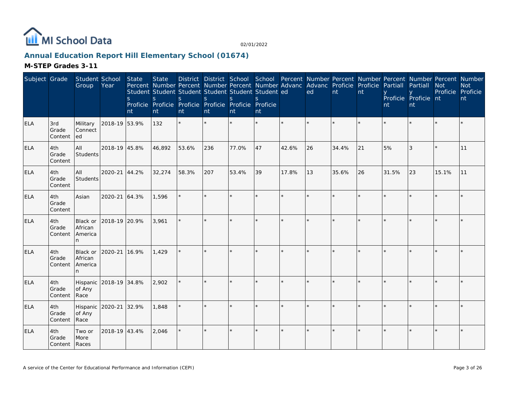

# **Annual Education Report Hill Elementary School (01674)**

| Subject Grade |                                 | Student School<br>Group                     | Year          | <b>State</b><br>S<br>nt | <b>State</b><br>Percent Number Percent Number Percent Number Advanc Advanc Proficie Proficie<br>Student Student Student Student Student Student ed<br>S<br>Proficie Proficie Proficie Proficie Proficie Proficie<br>nt | S.<br>nt | S.<br>nt | District District School School Percent Number Percent Number Percent Number Percent Number<br><sub>S</sub><br>nt | S.<br>nt |         | ed      | nt    | nt | Partiall<br>nt | Partiall<br>Proficie Proficie nt<br>nt | <b>Not</b><br>Proficie Proficie | <b>Not</b><br>nt |
|---------------|---------------------------------|---------------------------------------------|---------------|-------------------------|------------------------------------------------------------------------------------------------------------------------------------------------------------------------------------------------------------------------|----------|----------|-------------------------------------------------------------------------------------------------------------------|----------|---------|---------|-------|----|----------------|----------------------------------------|---------------------------------|------------------|
| <b>ELA</b>    | 3rd<br>Grade<br>Content         | Military<br><b>Connect</b><br>led           | 2018-19 53.9% |                         | 132                                                                                                                                                                                                                    | $\star$  | $\star$  |                                                                                                                   | ×.       | $\star$ |         |       |    |                |                                        |                                 |                  |
| <b>ELA</b>    | 4th<br>Grade<br>Content         | All<br>Students                             | 2018-19 45.8% |                         | 46,892                                                                                                                                                                                                                 | 53.6%    | 236      | 77.0%                                                                                                             | 47       | 42.6%   | 26      | 34.4% | 21 | 5%             | 3                                      |                                 | 11               |
| <b>ELA</b>    | 4th<br>Grade<br>Content         | All<br>Students                             | 2020-21 44.2% |                         | 32,274                                                                                                                                                                                                                 | 58.3%    | 207      | 53.4%                                                                                                             | 39       | 17.8%   | 13      | 35.6% | 26 | 31.5%          | 23                                     | 15.1%                           | 11               |
| <b>ELA</b>    | 4th<br>Grade<br>Content         | Asian                                       | 2020-21 64.3% |                         | 1,596                                                                                                                                                                                                                  | $\star$  | $\star$  | $\star$                                                                                                           | $\star$  | $\star$ | $\star$ |       |    |                |                                        |                                 |                  |
| <b>ELA</b>    | 4th<br>Grade<br>Content         | Black or<br>African<br>America<br>n         | 2018-19 20.9% |                         | 3,961                                                                                                                                                                                                                  |          |          |                                                                                                                   | $\star$  |         |         |       |    |                |                                        |                                 |                  |
| <b>ELA</b>    | 4th<br>Grade<br>Content         | <b>Black or</b><br>African<br>America<br>n. | 2020-21       | 16.9%                   | 1,429                                                                                                                                                                                                                  | $\star$  |          |                                                                                                                   | $\star$  |         | $\star$ |       |    |                |                                        |                                 |                  |
| <b>ELA</b>    | 4th<br>Grade<br>Content         | Hispanic 2018-19 34.8%<br>of Any<br>Race    |               |                         | 2,902                                                                                                                                                                                                                  | $\star$  |          |                                                                                                                   | ×.       |         | $\star$ |       |    |                |                                        |                                 |                  |
| <b>ELA</b>    | 4th<br>Grade<br>Content         | Hispanic 2020-21<br>of Any<br>Race          |               | 32.9%                   | 1,848                                                                                                                                                                                                                  |          |          |                                                                                                                   | k.       |         |         |       |    |                |                                        |                                 |                  |
| <b>ELA</b>    | 4th<br>Grade<br>Content   Races | Two or<br>More                              | 2018-19 43.4% |                         | 2,046                                                                                                                                                                                                                  | $\star$  |          |                                                                                                                   | $\star$  |         |         |       |    |                |                                        |                                 |                  |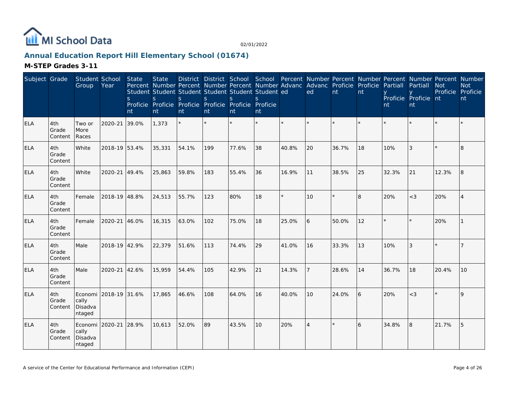

# **Annual Education Report Hill Elementary School (01674)**

| Subject Grade |                         | Student School<br>Group                       | Year                  | <b>State</b><br><sub>S</sub><br>nt | <b>State</b><br>S<br>nt | Percent Number Percent Number Percent Number Advanc<br>Student Student Student Student Student Student ed<br>S.<br>Proficie Proficie Proficie Proficie Proficie Proficie<br>nt | S.<br>nt | <sub>S</sub><br>nt | S.<br>nt |         | Advanc Proficie<br>ed | nt    | Proficie<br>nt | Partiall<br>nt | Partiall<br>Proficie Proficie nt<br><b>nt</b> | <b>Not</b> | District District School School Percent Number Percent Number Percent Number Percent Number<br><b>Not</b><br>Proficie Proficie<br>nt |
|---------------|-------------------------|-----------------------------------------------|-----------------------|------------------------------------|-------------------------|--------------------------------------------------------------------------------------------------------------------------------------------------------------------------------|----------|--------------------|----------|---------|-----------------------|-------|----------------|----------------|-----------------------------------------------|------------|--------------------------------------------------------------------------------------------------------------------------------------|
| ELA           | 4th<br>Grade<br>Content | Two or<br>More<br>Races                       | 2020-21               | 39.0%                              | 1,373                   | $\star$                                                                                                                                                                        | $\star$  |                    |          |         |                       |       | $\star$        |                |                                               |            |                                                                                                                                      |
| <b>ELA</b>    | 4th<br>Grade<br>Content | White                                         | 2018-19 53.4%         |                                    | 35,331                  | 54.1%                                                                                                                                                                          | 199      | 77.6%              | 38       | 40.8%   | 20                    | 36.7% | 18             | 10%            | 3                                             |            | 8                                                                                                                                    |
| <b>ELA</b>    | 4th<br>Grade<br>Content | White                                         | 2020-21 49.4%         |                                    | 25,863                  | 59.8%                                                                                                                                                                          | 183      | 55.4%              | 36       | 16.9%   | 11                    | 38.5% | 25             | 32.3%          | 21                                            | 12.3%      | 8                                                                                                                                    |
| <b>ELA</b>    | 4th<br>Grade<br>Content | Female                                        | 2018-19 48.8%         |                                    | 24,513                  | 55.7%                                                                                                                                                                          | 123      | 80%                | 18       | $\star$ | 10                    |       | 8              | 20%            | $<$ 3                                         | 20%        |                                                                                                                                      |
| <b>ELA</b>    | 4th<br>Grade<br>Content | Female                                        | 2020-21               | 46.0%                              | 16,315                  | 63.0%                                                                                                                                                                          | 102      | 75.0%              | 18       | 25.0%   | 6                     | 50.0% | 12             |                |                                               | 20%        |                                                                                                                                      |
| <b>ELA</b>    | 4th<br>Grade<br>Content | Male                                          | 2018-19 42.9%         |                                    | 22,379                  | 51.6%                                                                                                                                                                          | 113      | 74.4%              | 29       | 41.0%   | 16                    | 33.3% | $ 13\rangle$   | 10%            | 3                                             | $\star$    | 7                                                                                                                                    |
| <b>ELA</b>    | 4th<br>Grade<br>Content | Male                                          | 2020-21               | 42.6%                              | 15,959                  | 54.4%                                                                                                                                                                          | 105      | 42.9%              | 21       | 14.3%   |                       | 28.6% | 14             | 36.7%          | 18                                            | 20.4%      | 10                                                                                                                                   |
| <b>ELA</b>    | 4th<br>Grade<br>Content | cally<br>Disadva<br>ntaged                    | Economi 2018-19 31.6% |                                    | 17,865                  | 46.6%                                                                                                                                                                          | 108      | 64.0%              | 16       | 40.0%   | 10                    | 24.0% | 6              | 20%            | $<$ 3                                         | $\star$    | 9                                                                                                                                    |
| <b>ELA</b>    | 4th<br>Grade<br>Content | Economi 2020-21<br>cally<br>Disadva<br>ntaged |                       | 28.9%                              | 10,613                  | 52.0%                                                                                                                                                                          | 89       | 43.5%              | 10       | 20%     | $\overline{4}$        |       | 6              | 34.8%          | 8                                             | 21.7%      | 5                                                                                                                                    |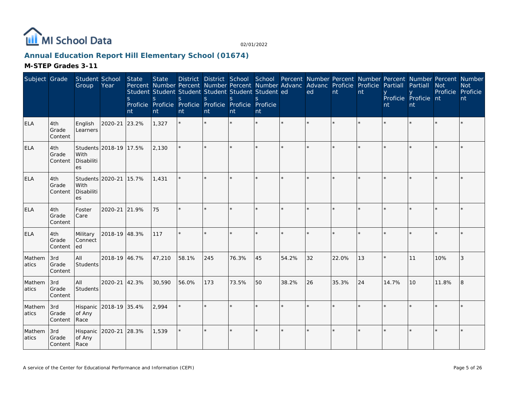

# **Annual Education Report Hill Elementary School (01674)**

| Subject Grade    |                              | Student School<br>Group                      | Year                   | State<br>S<br>nt | <b>State</b><br>S<br>nt | Percent Number Percent Number Percent Number Advanc Advanc Proficie<br>Student Student Student Student Student Student ed<br>S.<br>Proficie Proficie Proficie Proficie Proficie Proficie<br>nt | <sub>S</sub><br>nt | <sub>S</sub><br>nt | S.<br>nt |         | District District School School Percent Number Percent Number Percent Number Percent Number<br>ed | nt    | Proficie<br>nt | Partiall<br>nt | Partiall<br>Proficie Proficie nt<br>nt | <b>Not</b><br>Proficie Proficie | <b>Not</b><br>nt |
|------------------|------------------------------|----------------------------------------------|------------------------|------------------|-------------------------|------------------------------------------------------------------------------------------------------------------------------------------------------------------------------------------------|--------------------|--------------------|----------|---------|---------------------------------------------------------------------------------------------------|-------|----------------|----------------|----------------------------------------|---------------------------------|------------------|
| ELA              | 4th<br>Grade<br>Content      | English<br>Learners                          | 2020-21                | 23.2%            | 1,327                   | $\star$                                                                                                                                                                                        | $\star$            |                    | $\star$  | $\star$ |                                                                                                   |       |                |                |                                        |                                 |                  |
| <b>ELA</b>       | 4th<br>Grade<br>Content      | With<br>Disabiliti<br>es                     | Students 2018-19 17.5% |                  | 2,130                   |                                                                                                                                                                                                |                    |                    | $\star$  |         |                                                                                                   |       |                |                |                                        |                                 |                  |
| <b>ELA</b>       | 4th<br>Grade<br>Content      | Students 2020-21<br>With<br>Disabiliti<br>es |                        | 15.7%            | 1.431                   | $\star$                                                                                                                                                                                        |                    |                    |          |         |                                                                                                   |       |                |                |                                        |                                 |                  |
| <b>ELA</b>       | 4th<br>Grade<br>Content      | Foster<br>Care                               | 2020-21                | 21.9%            | 75                      | ÷.                                                                                                                                                                                             | ×.                 |                    | $\star$  |         |                                                                                                   |       |                |                |                                        |                                 |                  |
| <b>ELA</b>       | 4th<br>Grade<br>Content      | Military<br>Connect<br>led                   | 2018-19 48.3%          |                  | 117                     | $\star$                                                                                                                                                                                        |                    |                    | $\star$  |         |                                                                                                   |       |                |                |                                        |                                 |                  |
| Mathem<br>atics  | 3rd<br>Grade<br>Content      | All<br><b>Students</b>                       | 2018-19 46.7%          |                  | 47,210                  | 58.1%                                                                                                                                                                                          | 245                | 76.3%              | 45       | 54.2%   | 32                                                                                                | 22.0% | 13             |                | 11                                     | 10%                             | 3                |
| Mathem<br>atics  | 3rd<br>Grade<br>Content      | All<br>Students                              | 2020-21                | 42.3%            | 30,590                  | 56.0%                                                                                                                                                                                          | 173                | 73.5%              | 50       | 38.2%   | 26                                                                                                | 35.3% | 24             | 14.7%          | 10                                     | 11.8%                           | l 8              |
| Mathem<br>latics | 3rd<br>Grade<br>Content      | of Any<br>Race                               | Hispanic 2018-19 35.4% |                  | 2,994                   |                                                                                                                                                                                                |                    |                    |          |         |                                                                                                   |       |                |                |                                        |                                 |                  |
| Mathem<br>atics  | 3rd<br>Grade<br>Content Race | Hispanic<br>of Any                           | 2020-21                | 28.3%            | 1,539                   |                                                                                                                                                                                                | $\star$            |                    | $\star$  |         |                                                                                                   |       |                |                |                                        |                                 |                  |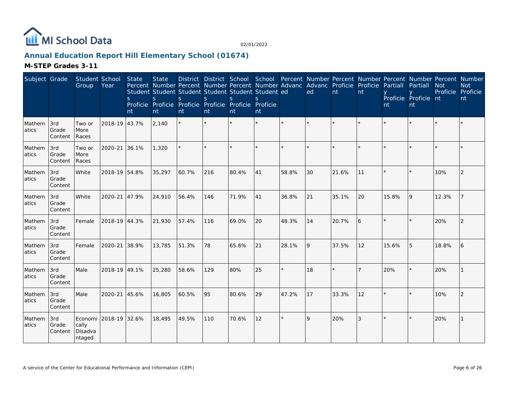

# **Annual Education Report Hill Elementary School (01674)**

| Subject Grade   |                         | Student School<br>Group    | Year                  | State<br>S<br>nt | <b>State</b><br><sub>S</sub><br>nt | Student Student Student Student Student Student ed<br><sub>S</sub><br>Proficie Proficie Proficie Proficie Proficie Proficie<br>nt | <sub>S</sub><br>nt | S.<br>nt | $\mathcal{S}_{\mathcal{S}}$<br>nt |         | District District School School Percent Number Percent Number Percent Number Percent Number<br>Percent Number Percent Number Percent Number Advanc Advanc Proficie Proficie<br>ed | nt    | nt | Partiall<br>nt | Partiall<br>Proficie Proficie nt<br>nt | <b>Not</b><br>Proficie | <b>Not</b><br>Proficie<br>nt |
|-----------------|-------------------------|----------------------------|-----------------------|------------------|------------------------------------|-----------------------------------------------------------------------------------------------------------------------------------|--------------------|----------|-----------------------------------|---------|-----------------------------------------------------------------------------------------------------------------------------------------------------------------------------------|-------|----|----------------|----------------------------------------|------------------------|------------------------------|
| Mathem<br>atics | 3rd<br>Grade<br>Content | Two or<br>More<br>Races    | 2018-19 43.7%         |                  | 2,140                              |                                                                                                                                   |                    |          | $\star$                           |         | $\star$                                                                                                                                                                           |       |    |                |                                        |                        |                              |
| Mathem<br>atics | 3rd<br>Grade<br>Content | Two or<br>More<br>Races    | 2020-21               | 36.1%            | 1,320                              |                                                                                                                                   |                    |          | ×.                                |         |                                                                                                                                                                                   |       |    |                |                                        |                        |                              |
| Mathem<br>atics | 3rd<br>Grade<br>Content | White                      | 2018-19 54.8%         |                  | 35,297                             | 60.7%                                                                                                                             | 216                | 80.4%    | 41                                | 58.8%   | 30                                                                                                                                                                                | 21.6% | 11 |                |                                        | 10%                    | 2                            |
| Mathem<br>atics | 3rd<br>Grade<br>Content | White                      | 2020-21               | 47.9%            | 24,910                             | 56.4%                                                                                                                             | 146                | 71.9%    | 41                                | 36.8%   | 21                                                                                                                                                                                | 35.1% | 20 | 15.8%          | 9                                      | 12.3%                  |                              |
| Mathem<br>atics | 3rd<br>Grade<br>Content | Female                     | 2018-19 44.3%         |                  | 21,930                             | 57.4%                                                                                                                             | 116                | 69.0%    | 20                                | 48.3%   | 14                                                                                                                                                                                | 20.7% | 6  |                |                                        | 20%                    |                              |
| Mathem<br>atics | 3rd<br>Grade<br>Content | Female                     | 2020-21               | 38.9%            | 13,785                             | 51.3%                                                                                                                             | 78                 | 65.6%    | 21                                | 28.1%   | 9                                                                                                                                                                                 | 37.5% | 12 | 15.6%          | 5                                      | 18.8%                  | 6                            |
| Mathem<br>atics | 3rd<br>Grade<br>Content | Male                       | 2018-19 49.1%         |                  | 25,280                             | 58.6%                                                                                                                             | 129                | 80%      | 25                                | $\star$ | 18                                                                                                                                                                                |       |    | 20%            |                                        | 20%                    |                              |
| Mathem<br>atics | 3rd<br>Grade<br>Content | Male                       | 2020-21               | 45.6%            | 16,805                             | 60.5%                                                                                                                             | 95                 | 80.6%    | 29                                | 47.2%   | 17                                                                                                                                                                                | 33.3% | 12 |                |                                        | 10%                    | 2                            |
| Mathem<br>atics | 3rd<br>Grade<br>Content | cally<br>Disadva<br>ntaged | Economi 2018-19 32.6% |                  | 18,495                             | 49.5%                                                                                                                             | 110                | 70.6%    | 12                                | $\star$ | 9                                                                                                                                                                                 | 20%   | 3  |                |                                        | 20%                    |                              |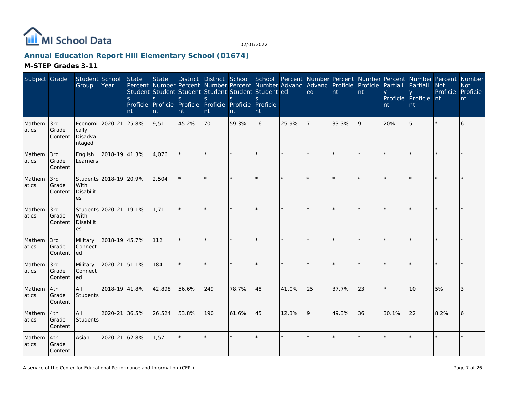

# **Annual Education Report Hill Elementary School (01674)**

| Subject Grade   |                         | Student School<br>Group                       | Year                   | <b>State</b><br><sub>S</sub><br>nt | <b>State</b><br>Percent Number Percent Number Percent Number Advanc Advanc Proficie Proficie<br>Student Student Student Student Student Student ed<br>S<br>Proficie Proficie Proficie Proficie Proficie Proficie<br>nt | <sub>S</sub><br>nt | $\mathsf{S}$<br>nt | <sub>S</sub><br>nt | S<br>nt |         | ed | $\mathsf{nt}$ | nt | Partiall<br>nt | District District School School Percent Number Percent Number Percent Number Percent Number<br>Partiall<br>Proficie Proficie nt<br>nt | <b>Not</b><br>Proficie Proficie | <b>Not</b><br>nt |
|-----------------|-------------------------|-----------------------------------------------|------------------------|------------------------------------|------------------------------------------------------------------------------------------------------------------------------------------------------------------------------------------------------------------------|--------------------|--------------------|--------------------|---------|---------|----|---------------|----|----------------|---------------------------------------------------------------------------------------------------------------------------------------|---------------------------------|------------------|
| Mathem<br>atics | 3rd<br>Grade<br>Content | Economi 2020-21<br>cally<br>Disadva<br>ntaged |                        | 25.8%                              | 9,511                                                                                                                                                                                                                  | 45.2%              | 70                 | 59.3%              | 16      | 25.9%   | 7  | 33.3%         | 9  | 20%            | 5                                                                                                                                     |                                 | 6                |
| Mathem<br>atics | 3rd<br>Grade<br>Content | English<br>Learners                           | 2018-19 41.3%          |                                    | 4,076                                                                                                                                                                                                                  |                    |                    |                    |         |         |    |               |    |                |                                                                                                                                       |                                 |                  |
| Mathem<br>atics | 3rd<br>Grade<br>Content | With<br>Disabiliti<br>es                      | Students 2018-19 20.9% |                                    | 2,504                                                                                                                                                                                                                  | $\star$            |                    |                    | ×.      |         |    |               |    |                |                                                                                                                                       |                                 |                  |
| Mathem<br>atics | 3rd<br>Grade<br>Content | Students 2020-21<br>With<br>Disabiliti<br>es  |                        | 19.1%                              | 1,711                                                                                                                                                                                                                  |                    |                    |                    | $\star$ |         |    |               |    |                |                                                                                                                                       |                                 |                  |
| Mathem<br>atics | 3rd<br>Grade<br>Content | Military<br>Connect<br>ed                     | 2018-19 45.7%          |                                    | 112                                                                                                                                                                                                                    | $\star$            |                    |                    | ×.      |         | ×. |               |    |                |                                                                                                                                       |                                 |                  |
| Mathem<br>atics | 3rd<br>Grade<br>Content | Military<br>Connect<br>led                    | 2020-21 51.1%          |                                    | 184                                                                                                                                                                                                                    | $\star$            |                    |                    |         |         |    |               |    |                |                                                                                                                                       |                                 |                  |
| Mathem<br>atics | 4th<br>Grade<br>Content | <b>AII</b><br><b>Students</b>                 | 2018-19 41.8%          |                                    | 42,898                                                                                                                                                                                                                 | 56.6%              | 249                | 78.7%              | 48      | 41.0%   | 25 | 37.7%         | 23 |                | 10                                                                                                                                    | 5%                              | 3                |
| Mathem<br>atics | 4th<br>Grade<br>Content | All<br>Students                               | 2020-21                | 36.5%                              | 26,524                                                                                                                                                                                                                 | 53.8%              | 190                | 61.6%              | 45      | 12.3%   | 9  | 49.3%         | 36 | 30.1%          | 22                                                                                                                                    | 8.2%                            | 6                |
| Mathem<br>atics | 4th<br>Grade<br>Content | Asian                                         | 2020-21 62.8%          |                                    | 1,571                                                                                                                                                                                                                  | $\star$            | $\star$            |                    | $\star$ | $\star$ |    |               |    |                |                                                                                                                                       |                                 |                  |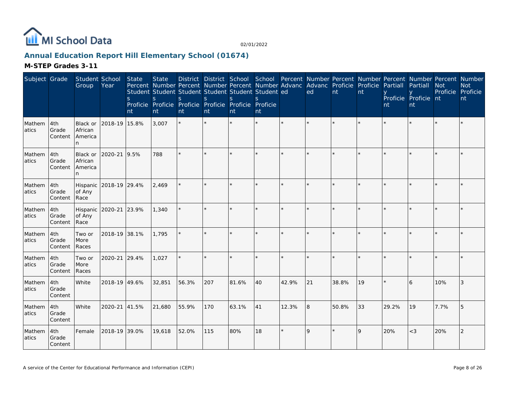

# **Annual Education Report Hill Elementary School (01674)**

| Subject Grade   |                         | Student School<br>Group              | Year          | State<br><sub>S</sub><br>nt | <b>State</b><br><sub>S</sub><br>nt | Percent Number Percent Number Percent Number Advanc Advanc Proficie Proficie<br>Student Student Student Student Student Student ed<br><sub>S</sub><br>Proficie Proficie Proficie Proficie Proficie Proficie<br>nt | S<br>nt | S<br>nt | S.<br>nt |       | District District School School Percent Number Percent Number Percent Number Percent Number<br>ed | nt    | nt | Partiall<br>nt | Partiall<br>Proficie Proficie nt<br>nt | <b>Not</b><br>Proficie Proficie | <b>Not</b><br>nt |
|-----------------|-------------------------|--------------------------------------|---------------|-----------------------------|------------------------------------|-------------------------------------------------------------------------------------------------------------------------------------------------------------------------------------------------------------------|---------|---------|----------|-------|---------------------------------------------------------------------------------------------------|-------|----|----------------|----------------------------------------|---------------------------------|------------------|
| Mathem<br>atics | 4th<br>Grade<br>Content | Black or<br>African<br>America<br>n  | 2018-19 15.8% |                             | 3,007                              |                                                                                                                                                                                                                   |         |         |          |       |                                                                                                   |       |    |                |                                        |                                 |                  |
| Mathem<br>atics | 4th<br>Grade<br>Content | Black or<br>African<br>America<br>n. | 2020-21       | 9.5%                        | 788                                | ÷.                                                                                                                                                                                                                |         |         | ×.       |       |                                                                                                   |       |    |                |                                        |                                 |                  |
| Mathem<br>atics | 4th<br>Grade<br>Content | Hispanic<br>of Any<br>Race           | 2018-19 29.4% |                             | 2.469                              |                                                                                                                                                                                                                   |         |         | $\star$  |       | $\star$                                                                                           |       |    |                |                                        |                                 |                  |
| Mathem<br>atics | 4th<br>Grade<br>Content | Hispanic<br>of Any<br>Race           | 2020-21       | 23.9%                       | 1,340                              |                                                                                                                                                                                                                   | $\star$ |         |          |       |                                                                                                   |       |    |                |                                        |                                 |                  |
| Mathem<br>atics | 4th<br>Grade<br>Content | Two or<br>More<br>Races              | 2018-19 38.1% |                             | 1,795                              |                                                                                                                                                                                                                   |         |         |          |       |                                                                                                   |       |    |                |                                        |                                 |                  |
| Mathem<br>atics | 4th<br>Grade<br>Content | Two or<br>More<br>Races              | 2020-21       | 29.4%                       | 1.027                              |                                                                                                                                                                                                                   |         |         | $\star$  |       |                                                                                                   |       |    |                |                                        |                                 |                  |
| Mathem<br>atics | 4th<br>Grade<br>Content | White                                | 2018-19 49.6% |                             | 32,851                             | 56.3%                                                                                                                                                                                                             | 207     | 81.6%   | 40       | 42.9% | 21                                                                                                | 38.8% | 19 |                | 6                                      | 10%                             | 3                |
| Mathem<br>atics | 4th<br>Grade<br>Content | White                                | 2020-21       | 41.5%                       | 21,680                             | 55.9%                                                                                                                                                                                                             | 170     | 63.1%   | 41       | 12.3% | 8                                                                                                 | 50.8% | 33 | 29.2%          | 19                                     | 7.7%                            | 5                |
| Mathem<br>atics | 4th<br>Grade<br>Content | Female                               | 2018-19 39.0% |                             | 19,618                             | 52.0%                                                                                                                                                                                                             | 115     | 80%     | 18       |       | 9                                                                                                 |       | 9  | 20%            | $<$ 3                                  | 20%                             | 2                |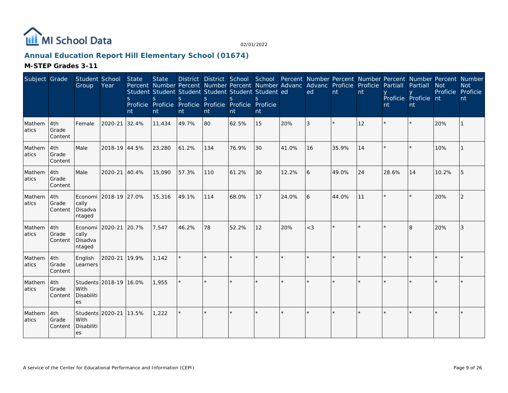

# **Annual Education Report Hill Elementary School (01674)**

| Subject Grade   |                         | Student School<br>Group                       | Year                   | State<br><sub>S</sub><br>nt | <b>State</b><br>$\mathsf{S}$<br>nt | Percent Number Percent Number Percent Number Advanc Advanc Proficie Proficie<br>Student Student Student Student Student Student ed<br><sub>S</sub><br>Proficie Proficie Proficie Proficie Proficie Proficie<br>nt | <sub>S</sub><br>nt | $\mathbf S$<br>nt | $\mathcal{S}$<br>nt |       | District District School School Percent Number Percent Number Percent Number Percent Number<br>ed | nt    | nt | Partiall<br>nt | Partiall<br>Proficie Proficie nt<br>nt | <b>Not</b><br>Proficie | <b>Not</b><br>Proficie<br>nt |
|-----------------|-------------------------|-----------------------------------------------|------------------------|-----------------------------|------------------------------------|-------------------------------------------------------------------------------------------------------------------------------------------------------------------------------------------------------------------|--------------------|-------------------|---------------------|-------|---------------------------------------------------------------------------------------------------|-------|----|----------------|----------------------------------------|------------------------|------------------------------|
| Mathem<br>atics | 4th<br>Grade<br>Content | Female                                        | 2020-21                | 32.4%                       | 11,434                             | 49.7%                                                                                                                                                                                                             | 80                 | 62.5%             | 15                  | 20%   | 3                                                                                                 |       | 12 |                |                                        | 20%                    |                              |
| Mathem<br>atics | 4th<br>Grade<br>Content | Male                                          | 2018-19 44.5%          |                             | 23,280                             | 61.2%                                                                                                                                                                                                             | 134                | 76.9%             | 30                  | 41.0% | 16                                                                                                | 35.9% | 14 |                |                                        | 10%                    |                              |
| Mathem<br>atics | 4th<br>Grade<br>Content | Male                                          | 2020-21                | 40.4%                       | 15,090                             | 57.3%                                                                                                                                                                                                             | 110                | 61.2%             | 30                  | 12.2% | 6                                                                                                 | 49.0% | 24 | 28.6%          | 14                                     | 10.2%                  | 5                            |
| Mathem<br>atics | 4th<br>Grade<br>Content | cally<br>Disadva<br>ntaged                    | Economi 2018-19 27.0%  |                             | 15,316                             | 49.1%                                                                                                                                                                                                             | 114                | 68.0%             | 17                  | 24.0% | 16                                                                                                | 44.0% | 11 |                |                                        | 20%                    | 2                            |
| Mathem<br>atics | 4th<br>Grade<br>Content | Economi 2020-21<br>cally<br>Disadva<br>ntaged |                        | 20.7%                       | 7,547                              | 46.2%                                                                                                                                                                                                             | 78                 | 52.2%             | 12                  | 20%   | $<$ 3                                                                                             |       |    |                | $\overline{8}$                         | 20%                    | 3                            |
| Mathem<br>atics | 4th<br>Grade<br>Content | English<br>Learners                           | 2020-21                | 19.9%                       | 1,142                              | $\star$                                                                                                                                                                                                           |                    |                   |                     |       |                                                                                                   |       |    |                |                                        |                        |                              |
| Mathem<br>atics | 4th<br>Grade<br>Content | With<br>Disabiliti<br>es                      | Students 2018-19 16.0% |                             | 1,955                              |                                                                                                                                                                                                                   |                    |                   |                     |       |                                                                                                   |       |    |                |                                        |                        |                              |
| Mathem<br>atics | 4th<br>Grade<br>Content | Students 2020-21<br>With<br>Disabiliti<br>es  |                        | 13.5%                       | 1,222                              |                                                                                                                                                                                                                   |                    |                   | $\star$             |       |                                                                                                   |       |    |                |                                        |                        |                              |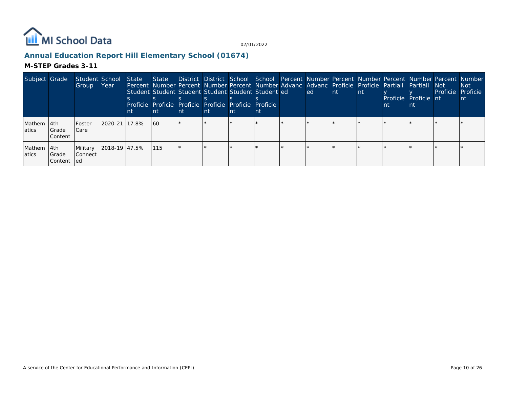

# **Annual Education Report Hill Elementary School (01674)**

| Subject Grade    |                                     | Student School<br>Group             | Year           | State<br>nt | State i<br>Student Student Student Student Student Student ed<br>Proficie Proficie Proficie Proficie Proficie Proficie<br>-nt | nt | nt | nt | nτ | District District School School Percent Number Percent Number Percent Number Percent Number<br>Percent Number Percent Number Percent Number Advanc Advanc Proficie Proficie Partiall Partiall Not<br>led l | <b>Int</b> | <b>nt</b> | nt | Proficie Proficie nt | Proficie Proficie | Not.<br><b>nt</b> |
|------------------|-------------------------------------|-------------------------------------|----------------|-------------|-------------------------------------------------------------------------------------------------------------------------------|----|----|----|----|------------------------------------------------------------------------------------------------------------------------------------------------------------------------------------------------------------|------------|-----------|----|----------------------|-------------------|-------------------|
| Mathem<br>latics | l 4th<br><b>S</b> rade<br>l Content | <b>IFoster</b><br>I Care            | 2020-21 117.8% |             | 160                                                                                                                           |    |    |    |    |                                                                                                                                                                                                            |            |           |    |                      |                   |                   |
| Mathem<br>atics  | l 4th<br><b>IGrade</b><br> Content  | Military<br>l Connect<br><b>led</b> |                |             | 1115                                                                                                                          |    |    |    |    |                                                                                                                                                                                                            |            |           |    |                      |                   |                   |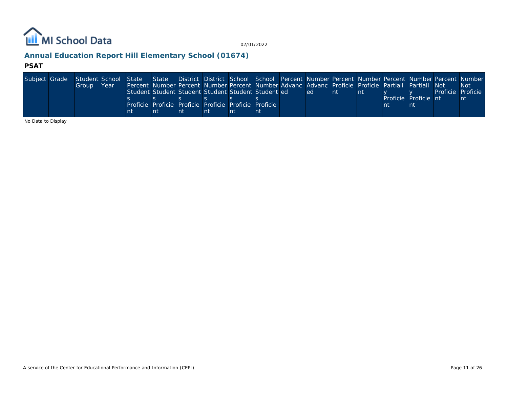

# **Annual Education Report Hill Elementary School (01674)**

#### **PSAT**

| Subject Grade | Student School State State District District School School Percent Number Percent Number Percent Number Percent Number |      |    |                                                                                                    |    |    |    |      |     |  |                      |                   |      |
|---------------|------------------------------------------------------------------------------------------------------------------------|------|----|----------------------------------------------------------------------------------------------------|----|----|----|------|-----|--|----------------------|-------------------|------|
|               | Group                                                                                                                  | Year |    | Percent Number Percent Number Percent Number Advanc Advanc Proficie Proficie Partiall Partiall Not |    |    |    |      |     |  |                      |                   | -Not |
|               |                                                                                                                        |      |    | Student Student Student Student Student Student ed                                                 |    |    |    | led. | -nt |  |                      | Proficie Proficie |      |
|               |                                                                                                                        |      |    |                                                                                                    |    |    |    |      |     |  | Proficie Proficie nt |                   | nt   |
|               |                                                                                                                        |      |    | Proficie Proficie Proficie Proficie Proficie Proficie                                              |    |    |    |      |     |  |                      |                   |      |
|               |                                                                                                                        |      | nt |                                                                                                    | nt | nt | nt |      |     |  |                      |                   |      |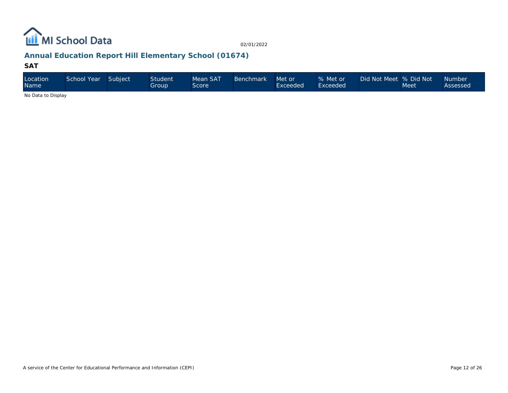

# **Annual Education Report Hill Elementary School (01674)**

#### **SAT**

| Location<br>Name   | School Year | Subject | <b>Student</b><br>Group' | Mean SAT<br>Score | <b>Benchmark</b> | Met or<br>Exceeded | % Met or<br>Exceeded | Did Not Meet % Did Not | Meet | <b>Number</b><br>Assessed |
|--------------------|-------------|---------|--------------------------|-------------------|------------------|--------------------|----------------------|------------------------|------|---------------------------|
| No Dota to Dianlou |             |         |                          |                   |                  |                    |                      |                        |      |                           |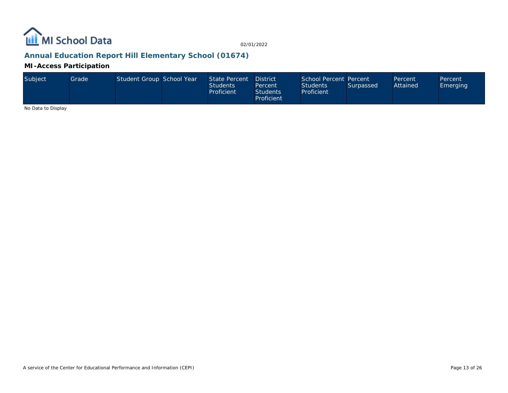

# **Annual Education Report Hill Elementary School (01674)**

#### **MI-Access Participation**

| Subject | Grade | Student Group School Year |  | State Percent District<br><b>Students</b><br>Proficient | Percent<br><b>Students</b><br>Proficient | School Percent Percent<br><b>Students</b><br>Proficient | Surpassed | Percent<br>Attained | Percent<br>Emerging |
|---------|-------|---------------------------|--|---------------------------------------------------------|------------------------------------------|---------------------------------------------------------|-----------|---------------------|---------------------|
|---------|-------|---------------------------|--|---------------------------------------------------------|------------------------------------------|---------------------------------------------------------|-----------|---------------------|---------------------|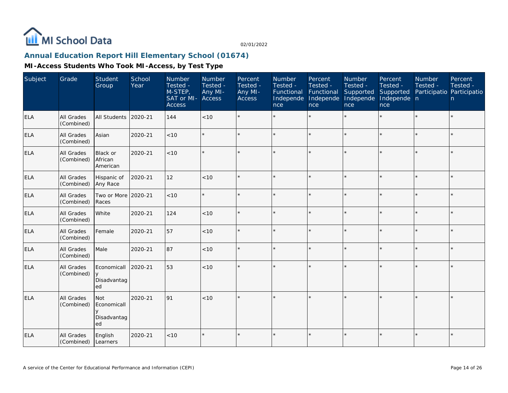

# **Annual Education Report Hill Elementary School (01674)**

| Subject    | Grade                    | Student<br>Group                           | School<br>Year | Number<br>Tested -<br>M-STEP,<br>SAT or MI-<br><b>Access</b> | Number<br>Tested -<br>Any MI-<br>Access | Percent<br>Tested -<br>Any MI-<br>Access | Number<br>Tested -<br>Functional<br>Independe<br>nce | Percent<br>Tested -<br>Functional<br>Independe<br>nce | Number<br>Tested -<br>Supported<br>Independe<br>nce | Percent<br>Tested -<br>Supported<br>Independe n<br>nce | <b>Number</b><br>Tested -<br>Participatio Participatio | Percent<br>Tested -<br>n. |
|------------|--------------------------|--------------------------------------------|----------------|--------------------------------------------------------------|-----------------------------------------|------------------------------------------|------------------------------------------------------|-------------------------------------------------------|-----------------------------------------------------|--------------------------------------------------------|--------------------------------------------------------|---------------------------|
| <b>ELA</b> | All Grades<br>(Combined) | <b>All Students</b>                        | 2020-21        | 144                                                          | $<10$                                   |                                          |                                                      |                                                       |                                                     | ×.                                                     |                                                        | $\star$                   |
| <b>ELA</b> | All Grades<br>(Combined) | Asian                                      | 2020-21        | < 10                                                         |                                         |                                          |                                                      | $\star$                                               | ÷                                                   | $\star$                                                | $\star$                                                | $\star$                   |
| <b>ELA</b> | All Grades<br>(Combined) | <b>Black or</b><br>African<br>American     | 2020-21        | < 10                                                         |                                         |                                          |                                                      |                                                       | ÷                                                   |                                                        |                                                        | $\star$                   |
| ELA        | All Grades<br>(Combined) | Hispanic of<br>Any Race                    | 2020-21        | 12                                                           | $<10$                                   | $\star$                                  |                                                      |                                                       |                                                     |                                                        | $\star$                                                | $\star$                   |
| <b>ELA</b> | All Grades<br>(Combined) | Two or More<br>Races                       | 2020-21        | < 10                                                         |                                         |                                          |                                                      | $\star$                                               | ÷                                                   |                                                        |                                                        | $\star$                   |
| <b>ELA</b> | All Grades<br>(Combined) | White                                      | 2020-21        | 124                                                          | < 10                                    | $\star$                                  |                                                      | $\star$                                               | ÷                                                   | $\star$                                                | $\star$                                                | $\star$                   |
| <b>ELA</b> | All Grades<br>(Combined) | Female                                     | 2020-21        | 57                                                           | < 10                                    |                                          |                                                      |                                                       | ÷                                                   | ×.                                                     |                                                        | $\star$                   |
| <b>ELA</b> | All Grades<br>(Combined) | Male                                       | 2020-21        | 87                                                           | < 10                                    |                                          |                                                      |                                                       |                                                     | sk.                                                    |                                                        | $\star$                   |
| ELA        | All Grades<br>(Combined) | Economicall<br>$\vee$<br>Disadvantag<br>ed | 2020-21        | 53                                                           | < 10                                    |                                          |                                                      |                                                       |                                                     |                                                        |                                                        | $\star$                   |
| ELA        | All Grades<br>(Combined) | Not<br>Economicall<br>Disadvantag<br>ed    | 2020-21        | 91                                                           | < 10                                    |                                          |                                                      |                                                       |                                                     |                                                        |                                                        | $\star$                   |
| <b>ELA</b> | All Grades<br>(Combined) | English<br>Learners                        | 2020-21        | < 10                                                         |                                         |                                          |                                                      |                                                       |                                                     |                                                        |                                                        | $\star$                   |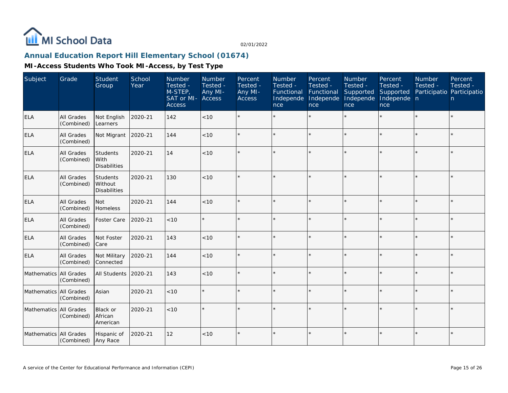

# **Annual Education Report Hill Elementary School (01674)**

| Subject                | Grade                           | Student<br>Group                                  | School<br>Year | Number<br>Tested -<br>M-STEP,<br>SAT or MI-<br><b>Access</b> | <b>Number</b><br>Tested -<br>Any MI-<br>Access | Percent<br>Tested -<br>Any MI-<br><b>Access</b> | <b>Number</b><br>Tested -<br>Functional<br>Independe<br>nce | Percent<br>Tested -<br>Functional<br>Independe<br>nce | Number<br>Tested -<br>Supported<br>Independe<br>nce | Percent<br>Tested -<br>Supported<br>Independe n<br>nce | <b>Number</b><br>Tested - | Percent<br>Tested -<br>Participatio Participatio<br>n. |
|------------------------|---------------------------------|---------------------------------------------------|----------------|--------------------------------------------------------------|------------------------------------------------|-------------------------------------------------|-------------------------------------------------------------|-------------------------------------------------------|-----------------------------------------------------|--------------------------------------------------------|---------------------------|--------------------------------------------------------|
| <b>ELA</b>             | All Grades<br>(Combined)        | Not English<br>Learners                           | 2020-21        | 142                                                          | < 10                                           |                                                 |                                                             | $\star$                                               |                                                     |                                                        |                           | $\star$                                                |
| <b>ELA</b>             | All Grades<br>(Combined)        | Not Migrant                                       | 2020-21        | 144                                                          | < 10                                           |                                                 |                                                             | $\star$                                               | ÷                                                   |                                                        |                           | $\star$                                                |
| <b>ELA</b>             | All Grades<br>(Combined)        | <b>Students</b><br>With<br><b>Disabilities</b>    | 2020-21        | 14                                                           | < 10                                           |                                                 |                                                             | $\star$                                               | ÷                                                   |                                                        |                           | $\star$                                                |
| <b>ELA</b>             | <b>All Grades</b><br>(Combined) | <b>Students</b><br>Without<br><b>Disabilities</b> | 2020-21        | 130                                                          | < 10                                           | $\star$                                         |                                                             | $\star$                                               |                                                     |                                                        |                           | $\star$                                                |
| <b>ELA</b>             | <b>All Grades</b><br>(Combined) | <b>Not</b><br>Homeless                            | 2020-21        | 144                                                          | < 10                                           |                                                 |                                                             | $\star$                                               |                                                     |                                                        |                           | $\star$                                                |
| <b>ELA</b>             | All Grades<br>(Combined)        | Foster Care                                       | 2020-21        | < 10                                                         |                                                | $\star$                                         |                                                             | $\star$                                               |                                                     |                                                        |                           | $\star$                                                |
| <b>ELA</b>             | All Grades<br>(Combined)        | Not Foster<br>Care                                | 2020-21        | 143                                                          | < 10                                           |                                                 |                                                             | $\star$                                               |                                                     |                                                        |                           | $\star$                                                |
| <b>ELA</b>             | All Grades<br>(Combined)        | Not Military<br>Connected                         | 2020-21        | 144                                                          | < 10                                           | $\star$                                         |                                                             | $\star$                                               |                                                     |                                                        |                           | $\star$                                                |
| Mathematics All Grades | (Combined)                      | All Students                                      | 2020-21        | 143                                                          | < 10                                           |                                                 |                                                             | $\star$                                               |                                                     |                                                        |                           | $\star$                                                |
| Mathematics All Grades | (Combined)                      | Asian                                             | 2020-21        | < 10                                                         |                                                | $\star$                                         | $\star$                                                     | $\star$                                               |                                                     |                                                        |                           | $\star$                                                |
| Mathematics All Grades | (Combined)                      | Black or<br>African<br>American                   | 2020-21        | $<10$                                                        |                                                |                                                 |                                                             | ÷                                                     |                                                     |                                                        |                           | ÷.                                                     |
| Mathematics All Grades | (Combined)                      | Hispanic of<br>Any Race                           | 2020-21        | 12                                                           | < 10                                           | $\star$                                         |                                                             | $\star$                                               |                                                     |                                                        |                           | $\star$                                                |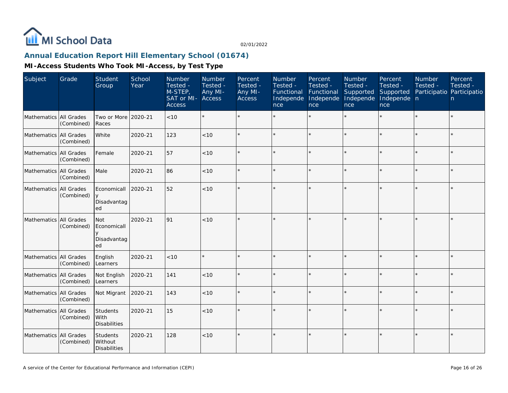

# **Annual Education Report Hill Elementary School (01674)**

| Subject                  | Grade      | Student<br>Group                               | School<br>Year | Number<br>Tested -<br>M-STEP,<br>SAT or MI-<br><b>Access</b> | Number<br>Tested -<br>Any MI-<br><b>Access</b> | Percent<br>Tested -<br>Any MI-<br>Access | Number<br>Tested -<br>Functional<br>Independe<br>nce | Percent<br>Tested -<br>Functional<br>Independe<br>nce | Number<br>Tested -<br>Supported<br>Independe<br>nce | Percent<br>Tested -<br>Supported<br>Independe n<br>nce | Number<br>Tested - | Percent<br>Tested -<br>Participatio Participatio<br>n |
|--------------------------|------------|------------------------------------------------|----------------|--------------------------------------------------------------|------------------------------------------------|------------------------------------------|------------------------------------------------------|-------------------------------------------------------|-----------------------------------------------------|--------------------------------------------------------|--------------------|-------------------------------------------------------|
| Mathematics All Grades   | (Combined) | Two or More 2020-21<br>Races                   |                | < 10                                                         | $\star$                                        |                                          |                                                      | $\star$                                               | $\star$                                             |                                                        |                    | $\star$                                               |
| Mathematics All Grades   | (Combined) | White                                          | 2020-21        | 123                                                          | < 10                                           |                                          |                                                      | $\star$                                               |                                                     | $\star$                                                |                    | $\star$                                               |
| Mathematics All Grades   | (Combined) | Female                                         | 2020-21        | 57                                                           | $<10$                                          |                                          |                                                      | $\star$                                               |                                                     | ×.                                                     |                    | $\star$                                               |
| Mathematics All Grades   | (Combined) | Male                                           | 2020-21        | 86                                                           | < 10                                           |                                          |                                                      | $\star$                                               |                                                     | $\star$                                                |                    | $\star$                                               |
| Mathematics All Grades   | (Combined) | Economicall<br>Disadvantag<br>ed               | 2020-21        | 52                                                           | < 10                                           |                                          |                                                      | ÷                                                     |                                                     | $\star$                                                | ÷                  | ÷.                                                    |
| Mathematics All Grades   | (Combined) | <b>Not</b><br>Economicall<br>Disadvantag<br>ed | 2020-21        | 91                                                           | < 10                                           |                                          |                                                      | ÷                                                     |                                                     |                                                        |                    | $\star$                                               |
| Mathematics All Grades   | (Combined) | English<br>Learners                            | 2020-21        | < 10                                                         | $\star$                                        |                                          |                                                      | $\star$                                               |                                                     |                                                        |                    | $\star$                                               |
| Mathematics All Grades   | (Combined) | Not English<br>Learners                        | 2020-21        | 141                                                          | < 10                                           |                                          |                                                      | $\star$                                               |                                                     | ×.                                                     |                    | $\star$                                               |
| Mathematics   All Grades | (Combined) | Not Migrant                                    | 2020-21        | 143                                                          | < 10                                           |                                          |                                                      |                                                       |                                                     | $\star$                                                |                    | $\star$                                               |
| Mathematics All Grades   | (Combined) | Students<br>With<br>Disabilities               | 2020-21        | 15                                                           | < 10                                           |                                          |                                                      | $\star$                                               |                                                     |                                                        |                    | $\star$                                               |
| Mathematics All Grades   | (Combined) | Students<br>Without<br><b>Disabilities</b>     | 2020-21        | 128                                                          | < 10                                           |                                          |                                                      | $\star$                                               |                                                     |                                                        |                    | $\star$                                               |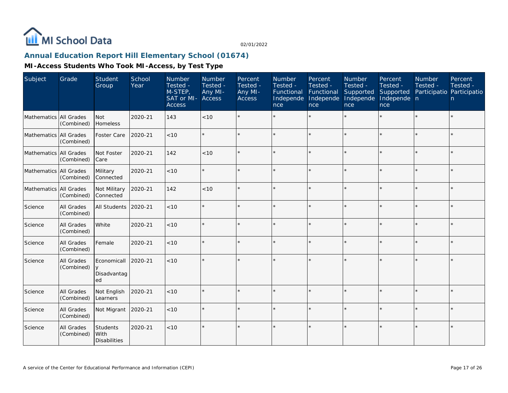

# **Annual Education Report Hill Elementary School (01674)**

| Subject                  | Grade                    | <b>Student</b><br>Group                        | School<br>Year | Number<br>Tested -<br>M-STEP,<br>SAT or MI-<br><b>Access</b> | <b>Number</b><br>Tested -<br>Any MI-<br>Access | Percent<br>Tested -<br>Any MI-<br>Access | Number<br>Tested -<br>Functional<br>Independe<br>nce | Percent<br>Tested -<br>Functional<br>Independe<br>nce | <b>Number</b><br>Tested -<br>Supported<br>Independe<br>nce | Percent<br>Tested -<br>Supported<br>Independe n<br>nce | <b>Number</b><br>Tested -<br>Participatio Participatio | Percent<br>Tested -<br>n. |
|--------------------------|--------------------------|------------------------------------------------|----------------|--------------------------------------------------------------|------------------------------------------------|------------------------------------------|------------------------------------------------------|-------------------------------------------------------|------------------------------------------------------------|--------------------------------------------------------|--------------------------------------------------------|---------------------------|
| Mathematics All Grades   | (Combined)               | Not<br>Homeless                                | 2020-21        | 143                                                          | < 10                                           |                                          |                                                      |                                                       |                                                            |                                                        |                                                        | $\star$                   |
| Mathematics All Grades   | (Combined)               | Foster Care                                    | 2020-21        | < 10                                                         |                                                |                                          |                                                      | ÷                                                     |                                                            | $\star$                                                | $\star$                                                | ÷.                        |
| Mathematics   All Grades | (Combined)               | Not Foster<br>Care                             | 2020-21        | 142                                                          | < 10                                           |                                          |                                                      |                                                       |                                                            |                                                        |                                                        | $\star$                   |
| Mathematics All Grades   | (Combined)               | Military<br>Connected                          | 2020-21        | < 10                                                         |                                                |                                          |                                                      |                                                       |                                                            |                                                        |                                                        | $\star$                   |
| Mathematics   All Grades | (Combined)               | Not Military<br>Connected                      | 2020-21        | 142                                                          | < 10                                           |                                          |                                                      |                                                       |                                                            | ×.                                                     |                                                        | $\star$                   |
| Science                  | All Grades<br>(Combined) | All Students                                   | 2020-21        | < 10                                                         |                                                |                                          |                                                      |                                                       |                                                            |                                                        |                                                        | $\star$                   |
| Science                  | All Grades<br>(Combined) | White                                          | 2020-21        | < 10                                                         |                                                |                                          |                                                      |                                                       |                                                            |                                                        |                                                        | $\star$                   |
| Science                  | All Grades<br>(Combined) | Female                                         | 2020-21        | < 10                                                         |                                                |                                          |                                                      |                                                       |                                                            |                                                        |                                                        | $\star$                   |
| Science                  | All Grades<br>(Combined) | Economicall<br>y<br>Disadvantag<br>ed          | 2020-21        | $<10$                                                        |                                                |                                          |                                                      |                                                       |                                                            |                                                        |                                                        | k.                        |
| Science                  | All Grades<br>(Combined) | Not English<br>Learners                        | 2020-21        | < 10                                                         |                                                | $\star$                                  |                                                      |                                                       |                                                            |                                                        |                                                        | $\star$                   |
| Science                  | All Grades<br>(Combined) | Not Migrant                                    | 2020-21        | $<10$                                                        |                                                |                                          |                                                      |                                                       |                                                            |                                                        |                                                        | $\star$                   |
| Science                  | All Grades<br>(Combined) | <b>Students</b><br>With<br><b>Disabilities</b> | 2020-21        | < 10                                                         |                                                |                                          |                                                      |                                                       |                                                            |                                                        |                                                        | $\star$                   |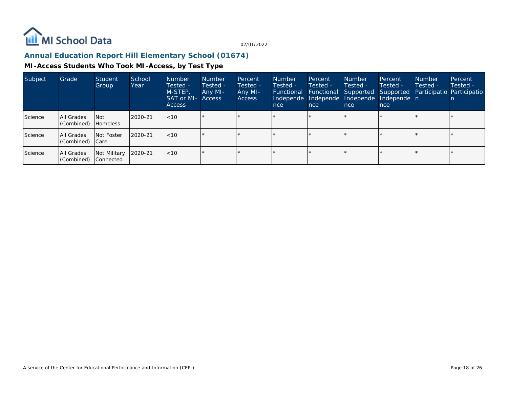

# **Annual Education Report Hill Elementary School (01674)**

| Subject | Grade                         | Student<br>Group                 | School<br>Year | <b>Number</b><br>Tested -<br>M-STEP,<br><b>SAT or MI- Access</b><br>Access | <b>Number</b><br>Tested -<br>Any MI- | Percent<br>Tested -<br>Any MI-<br><b>Access</b> | <b>Number</b><br>Tested -<br><b>Functional</b><br>nce | Percent<br>Tested -<br>Functional<br>nce | Number<br>Tested -<br>Independe Independe Independe<br>nce | Percent<br>Tested -<br>Independe n<br>nce | <b>Number</b><br>Tested - | Percent<br>Tested -<br>Supported Supported Participatio Participatio |
|---------|-------------------------------|----------------------------------|----------------|----------------------------------------------------------------------------|--------------------------------------|-------------------------------------------------|-------------------------------------------------------|------------------------------------------|------------------------------------------------------------|-------------------------------------------|---------------------------|----------------------------------------------------------------------|
| Science | All Grades<br>(Combined)      | I Not<br><b>Homeless</b>         | 2020-21        | $ $ < 10                                                                   |                                      |                                                 |                                                       |                                          |                                                            |                                           |                           |                                                                      |
| Science | All Grades<br>(Combined) Care | Not Foster                       | 2020-21        | $ $ < 10                                                                   |                                      |                                                 |                                                       |                                          |                                                            | $\star$                                   |                           |                                                                      |
| Science | All Grades<br>(Combined)      | Not Military<br><b>Connected</b> | $12020 - 21$   | $ $ < 10                                                                   |                                      |                                                 |                                                       |                                          |                                                            |                                           |                           |                                                                      |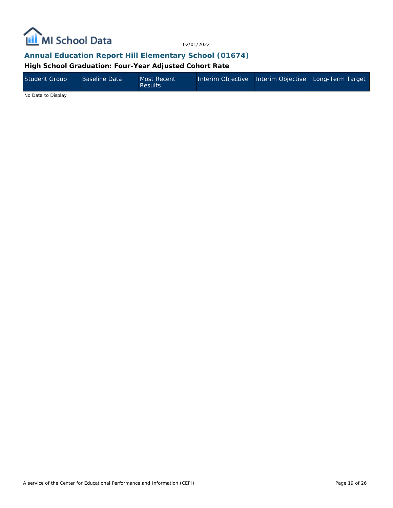

#### **Annual Education Report Hill Elementary School (01674)**

**High School Graduation: Four-Year Adjusted Cohort Rate**

| Student Group | <b>Baseline Data</b> | Most Recent<br><b>Results</b> | Interim Objective Interim Objective Long-Term Target |  |
|---------------|----------------------|-------------------------------|------------------------------------------------------|--|
| .             |                      |                               |                                                      |  |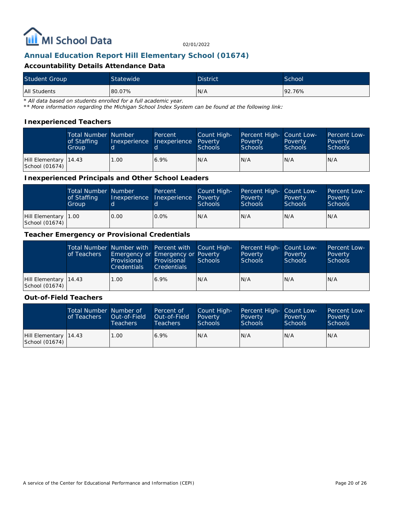

### **Annual Education Report Hill Elementary School (01674)**

#### **Accountability Details Attendance Data**

| <b>Student Group</b> | Statewide | <b>District</b> | School |
|----------------------|-----------|-----------------|--------|
| All Students         | 80.07%    | N/A             | 92.76% |

*\* All data based on students enrolled for a full academic year.*

*\*\* More information regarding the Michigan School Index System can be found at the following link:*

#### **Inexperienced Teachers**

|                                           | <b>Total Number Number</b><br>of Staffing<br>Group |      | Percent<br>Inexperience Thexperience | Count High-<br>Poverty<br><b>Schools</b> | Percent High- Count Low-<br>Poverty<br><b>Schools</b> | Poverty<br><b>Schools</b> | <b>Percent Low-</b><br>Poverty<br>Schools |
|-------------------------------------------|----------------------------------------------------|------|--------------------------------------|------------------------------------------|-------------------------------------------------------|---------------------------|-------------------------------------------|
| Hill Elementary   14.43<br>School (01674) |                                                    | 1.00 | 6.9%                                 | IN/A                                     | N/A                                                   | N/A                       | N/A                                       |

**Inexperienced Principals and Other School Leaders**

|                                        | <b>Total Number Number</b><br>of Staffing<br>Group |      | <b>Percent</b><br>Inexperience Inexperience Poverty | Count High-<br><b>Schools</b> | Percent High- Count Low-<br>Poverty<br><b>Schools</b> | Poverty<br><b>Schools</b> | Percent Low-<br>Poverty<br><b>Schools</b> |
|----------------------------------------|----------------------------------------------------|------|-----------------------------------------------------|-------------------------------|-------------------------------------------------------|---------------------------|-------------------------------------------|
| Hill Elementary 1.00<br>School (01674) |                                                    | 0.00 | $0.0\%$                                             | N/A                           | IN/A                                                  | IN/A                      | IN/A                                      |

#### **Teacher Emergency or Provisional Credentials**

|                                           | of Teachers | Provisional<br><b>Credentials</b> | Total Number Number with Percent with Count High-<br>Emergency or Emergency or Poverty<br>Provisional<br><b>Credentials</b> | Schools | Percent High- Count Low-<br>Poverty<br><b>Schools</b> | Poverty<br>Schools | <b>Percent Low-</b><br>Poverty<br>Schools |
|-------------------------------------------|-------------|-----------------------------------|-----------------------------------------------------------------------------------------------------------------------------|---------|-------------------------------------------------------|--------------------|-------------------------------------------|
| Hill Elementary   14.43<br>School (01674) |             | 1.00                              | $6.9\%$                                                                                                                     | N/A     | N/A                                                   | IN/A               | IN/A                                      |

#### **Out-of-Field Teachers**

|                                           | Total Number Number of<br>of Teachers | Out-of-Field<br><b>Teachers</b> | Percent of<br>Out-of-Field<br>Teachers | Count High-<br>Poverty<br><b>Schools</b> | Percent High- Count Low-<br>Poverty<br><b>Schools</b> | Poverty<br><b>Schools</b> | <b>Percent Low-</b><br>Poverty<br>Schools |
|-------------------------------------------|---------------------------------------|---------------------------------|----------------------------------------|------------------------------------------|-------------------------------------------------------|---------------------------|-------------------------------------------|
| Hill Elementary   14.43<br>School (01674) |                                       | 1.00                            | 6.9%                                   | IN/A                                     | N/A                                                   | IN/A                      | IN/A                                      |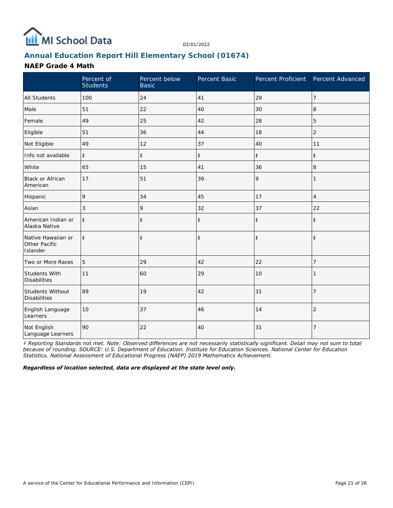

# **Annual Education Report Hill Elementary School (01674)**

#### **NAEP Grade 4 Math**

|                                                 | Percent of<br><b>Students</b> | Percent below<br><b>Basic</b> | Percent Basic | Percent Proficient Percent Advanced |                |
|-------------------------------------------------|-------------------------------|-------------------------------|---------------|-------------------------------------|----------------|
| <b>All Students</b>                             | 100                           | 24                            | 41            | 29                                  | 7              |
| Male                                            | 51                            | 22                            | 40            | 30                                  | 8              |
| Female                                          | 49                            | 25                            | 42            | 28                                  | 5              |
| Eligible                                        | 51                            | 36                            | 44            | 18                                  | $\overline{2}$ |
| Not Eligible                                    | 49                            | 12                            | 37            | 40                                  | 11             |
| Info not available                              | $\ddagger$                    | $\ddagger$                    | $\ddagger$    | $\ddagger$                          | $\ddagger$     |
| White                                           | 65                            | 15                            | 41            | 36                                  | 8              |
| <b>Black or African</b><br>American             | 17                            | 51                            | 39            | 9                                   | 1              |
| Hispanic                                        | 9                             | 34                            | 45            | 17                                  | 4              |
| Asian                                           | 3                             | 9                             | 32            | 37                                  | 22             |
| American Indian or<br>Alaska Native             | $\ddagger$                    | $\ddagger$                    | $\ddagger$    | $\ddagger$                          | $\ddagger$     |
| Native Hawaiian or<br>Other Pacific<br>Islander | $\ddagger$                    | $\ddagger$                    | $\ddagger$    | $\ddagger$                          | $\ddagger$     |
| Two or More Races                               | 5                             | 29                            | 42            | 22                                  | 7              |
| Students With<br><b>Disabilities</b>            | 11                            | 60                            | 29            | 10                                  |                |
| Students Without<br><b>Disabilities</b>         | 89                            | 19                            | 42            | 31                                  | $\overline{7}$ |
| English Language<br>Learners                    | 10                            | 37                            | 46            | 14                                  | $\overline{2}$ |
| Not English<br>Language Learners                | 90                            | 22                            | 40            | 31                                  | $\overline{7}$ |

*‡ Reporting Standards not met. Note: Observed differences are not necessarily statistically significant. Detail may not sum to total because of rounding. SOURCE: U.S. Department of Education. Institute for Education Sciences. National Center for Education Statistics. National Assessment of Educational Progress (NAEP) 2019 Mathematics Achievement.*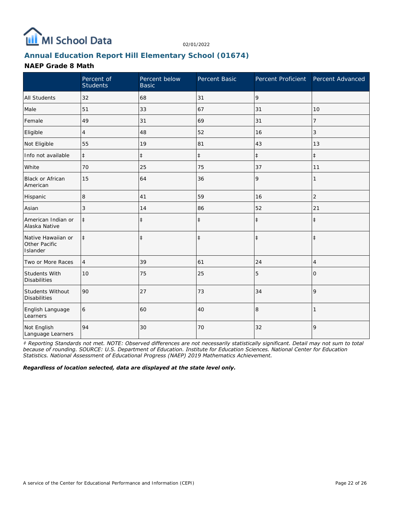

# **Annual Education Report Hill Elementary School (01674)**

#### **NAEP Grade 8 Math**

|                                                 | Percent of<br><b>Students</b> | Percent below<br><b>Basic</b> | Percent Basic |            | Percent Proficient Percent Advanced |
|-------------------------------------------------|-------------------------------|-------------------------------|---------------|------------|-------------------------------------|
| <b>All Students</b>                             | 32                            | 68                            | 31            | 9          |                                     |
| Male                                            | 51                            | 33                            | 67            | 31         | 10                                  |
| Female                                          | 49                            | 31                            | 69            | 31         | 7                                   |
| Eligible                                        | 4                             | 48                            | 52            | 16         | 3                                   |
| Not Eligible                                    | 55                            | 19                            | 81            | 43         | 13                                  |
| Info not available                              | $\ddagger$                    | $\ddagger$                    | $\ddagger$    | $\ddagger$ | $\ddagger$                          |
| White                                           | 70                            | 25                            | 75            | 37         | 11                                  |
| Black or African<br>American                    | 15                            | 64                            | 36            | 9          |                                     |
| Hispanic                                        | 8                             | 41                            | 59            | 16         | $\overline{2}$                      |
| Asian                                           | 3                             | 14                            | 86            | 52         | 21                                  |
| American Indian or<br>Alaska Native             | $\ddagger$                    | $\ddagger$                    | $\ddagger$    | $\ddagger$ | $\ddagger$                          |
| Native Hawaiian or<br>Other Pacific<br>Islander | $\ddagger$                    | $\ddagger$                    | $\ddagger$    | $\ddagger$ | $\ddagger$                          |
| Two or More Races                               | $\overline{4}$                | 39                            | 61            | 24         | 4                                   |
| Students With<br><b>Disabilities</b>            | 10                            | 75                            | 25            | 5          | 0                                   |
| Students Without<br><b>Disabilities</b>         | 90                            | 27                            | 73            | 34         | 9                                   |
| English Language<br>Learners                    | 6                             | 60                            | 40            | 8          |                                     |
| Not English<br>Language Learners                | 94                            | 30                            | 70            | 32         | 9                                   |

*‡ Reporting Standards not met. NOTE: Observed differences are not necessarily statistically significant. Detail may not sum to total because of rounding. SOURCE: U.S. Department of Education. Institute for Education Sciences. National Center for Education Statistics. National Assessment of Educational Progress (NAEP) 2019 Mathematics Achievement.*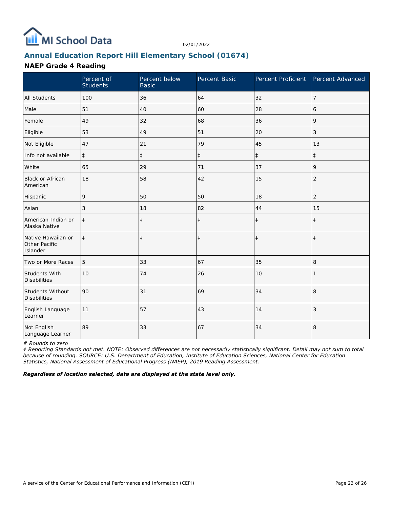

# **Annual Education Report Hill Elementary School (01674)**

#### **NAEP Grade 4 Reading**

|                                                 | Percent of<br><b>Students</b> | Percent below<br><b>Basic</b> | Percent Basic | Percent Proficient | Percent Advanced |
|-------------------------------------------------|-------------------------------|-------------------------------|---------------|--------------------|------------------|
| <b>All Students</b>                             | 100                           | 36                            | 64            | 32                 | $\overline{7}$   |
| Male                                            | 51                            | 40                            | 60            | 28                 | 6                |
| Female                                          | 49                            | 32                            | 68            | 36                 | 9                |
| Eligible                                        | 53                            | 49                            | 51            | 20                 | 3                |
| Not Eligible                                    | 47                            | 21                            | 79            | 45                 | 13               |
| Info not available                              | $\ddagger$                    | $\ddagger$                    | $\ddagger$    | $\ddagger$         | $\pm$            |
| White                                           | 65                            | 29                            | 71            | 37                 | 9                |
| Black or African<br>American                    | 18                            | 58                            | 42            | 15                 | $\overline{2}$   |
| Hispanic                                        | 9                             | 50                            | 50            | 18                 | $\overline{c}$   |
| Asian                                           | 3                             | 18                            | 82            | 44                 | 15               |
| American Indian or<br>Alaska Native             | $\ddagger$                    | $\ddagger$                    | $\ddagger$    | $\ddagger$         | $\ddagger$       |
| Native Hawaiian or<br>Other Pacific<br>Islander | $\ddagger$                    | $\ddagger$                    | $\ddagger$    | $\ddagger$         | $\ddagger$       |
| Two or More Races                               | 5                             | 33                            | 67            | 35                 | 8                |
| <b>Students With</b><br><b>Disabilities</b>     | 10                            | 74                            | 26            | 10                 |                  |
| Students Without<br><b>Disabilities</b>         | 90                            | 31                            | 69            | 34                 | $\,8\,$          |
| English Language<br>Learner                     | 11                            | 57                            | 43            | 14                 | 3                |
| Not English<br>Language Learner                 | 89                            | 33                            | 67            | 34                 | 8                |

*# Rounds to zero*

*‡ Reporting Standards not met. NOTE: Observed differences are not necessarily statistically significant. Detail may not sum to total because of rounding. SOURCE: U.S. Department of Education, Institute of Education Sciences, National Center for Education Statistics, National Assessment of Educational Progress (NAEP), 2019 Reading Assessment.*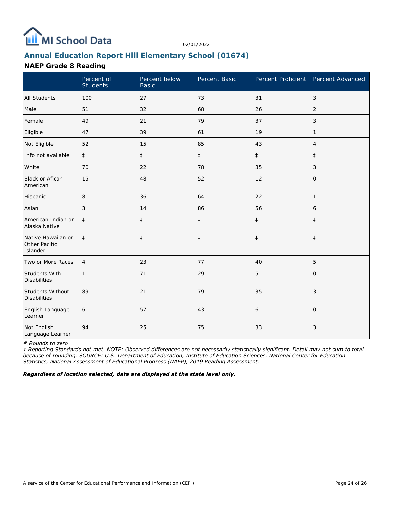

# **Annual Education Report Hill Elementary School (01674)**

#### **NAEP Grade 8 Reading**

|                                                 | Percent of<br><b>Students</b> | Percent below<br><b>Basic</b> | Percent Basic | Percent Proficient Percent Advanced |                |
|-------------------------------------------------|-------------------------------|-------------------------------|---------------|-------------------------------------|----------------|
| <b>All Students</b>                             | 100                           | 27                            | 73            | 31                                  | 3              |
| Male                                            | 51                            | 32                            | 68            | 26                                  | 2              |
| Female                                          | 49                            | 21                            | 79            | 37                                  | 3              |
| Eligible                                        | 47                            | 39                            | 61            | 19                                  | 1              |
| Not Eligible                                    | 52                            | 15                            | 85            | 43                                  | 4              |
| Info not available                              | $\ddagger$                    | $\ddagger$                    | $\ddagger$    | $\ddagger$                          | $\ddagger$     |
| White                                           | 70                            | 22                            | 78            | 35                                  | 3              |
| <b>Black or Afican</b><br>American              | 15                            | 48                            | 52            | 12                                  | $\mathbf{O}$   |
| Hispanic                                        | 8 <sub>1</sub>                | 36                            | 64            | 22                                  | 1              |
| Asian                                           | 3                             | 14                            | 86            | 56                                  | 6              |
| American Indian or<br>Alaska Native             | $\ddagger$                    | $\ddagger$                    | $\ddagger$    | $\ddagger$                          | $\ddagger$     |
| Native Hawaiian or<br>Other Pacific<br>Islander | $\ddagger$                    | $\ddagger$                    | $\ddagger$    | $\ddagger$                          | $\ddagger$     |
| Two or More Races                               | 4                             | 23                            | 77            | 40                                  | 5              |
| Students With<br><b>Disabilities</b>            | 11                            | 71                            | 29            | 5                                   | $\overline{O}$ |
| Students Without<br><b>Disabilities</b>         | 89                            | 21                            | 79            | 35                                  | 3              |
| English Language<br>Learner                     | 6                             | 57                            | 43            | 6                                   | $\Omega$       |
| Not English<br>Language Learner                 | 94                            | 25                            | 75            | 33                                  | 3              |

*# Rounds to zero*

*‡ Reporting Standards not met. NOTE: Observed differences are not necessarily statistically significant. Detail may not sum to total because of rounding. SOURCE: U.S. Department of Education, Institute of Education Sciences, National Center for Education Statistics, National Assessment of Educational Progress (NAEP), 2019 Reading Assessment.*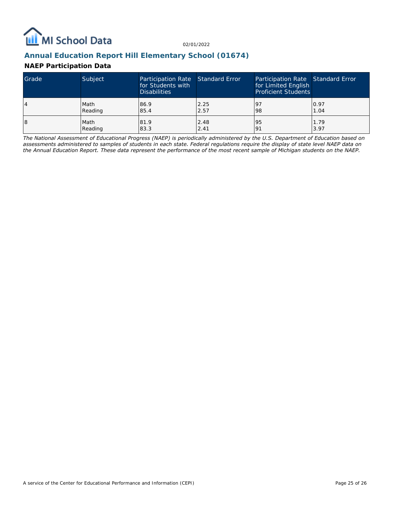

# **Annual Education Report Hill Elementary School (01674)**

#### **NAEP Participation Data**

| Grade | Subject | Participation Rate Standard Error<br>for Students with<br><b>Disabilities</b> |      | Participation Rate Standard Error<br>for Limited English<br><b>Proficient Students</b> |      |
|-------|---------|-------------------------------------------------------------------------------|------|----------------------------------------------------------------------------------------|------|
| 4     | Math    | 86.9                                                                          | 2.25 | <u>l</u> 9                                                                             | 0.97 |
|       | Reading | 85.4                                                                          | 2.57 | 98                                                                                     | 1.04 |
| 18    | Math    | 81.9                                                                          | 2.48 | 95                                                                                     | 1.79 |
|       | Reading | 83.3                                                                          | 2.41 | 191                                                                                    | 3.97 |

*The National Assessment of Educational Progress (NAEP) is periodically administered by the U.S. Department of Education based on assessments administered to samples of students in each state. Federal regulations require the display of state level NAEP data on the Annual Education Report. These data represent the performance of the most recent sample of Michigan students on the NAEP.*